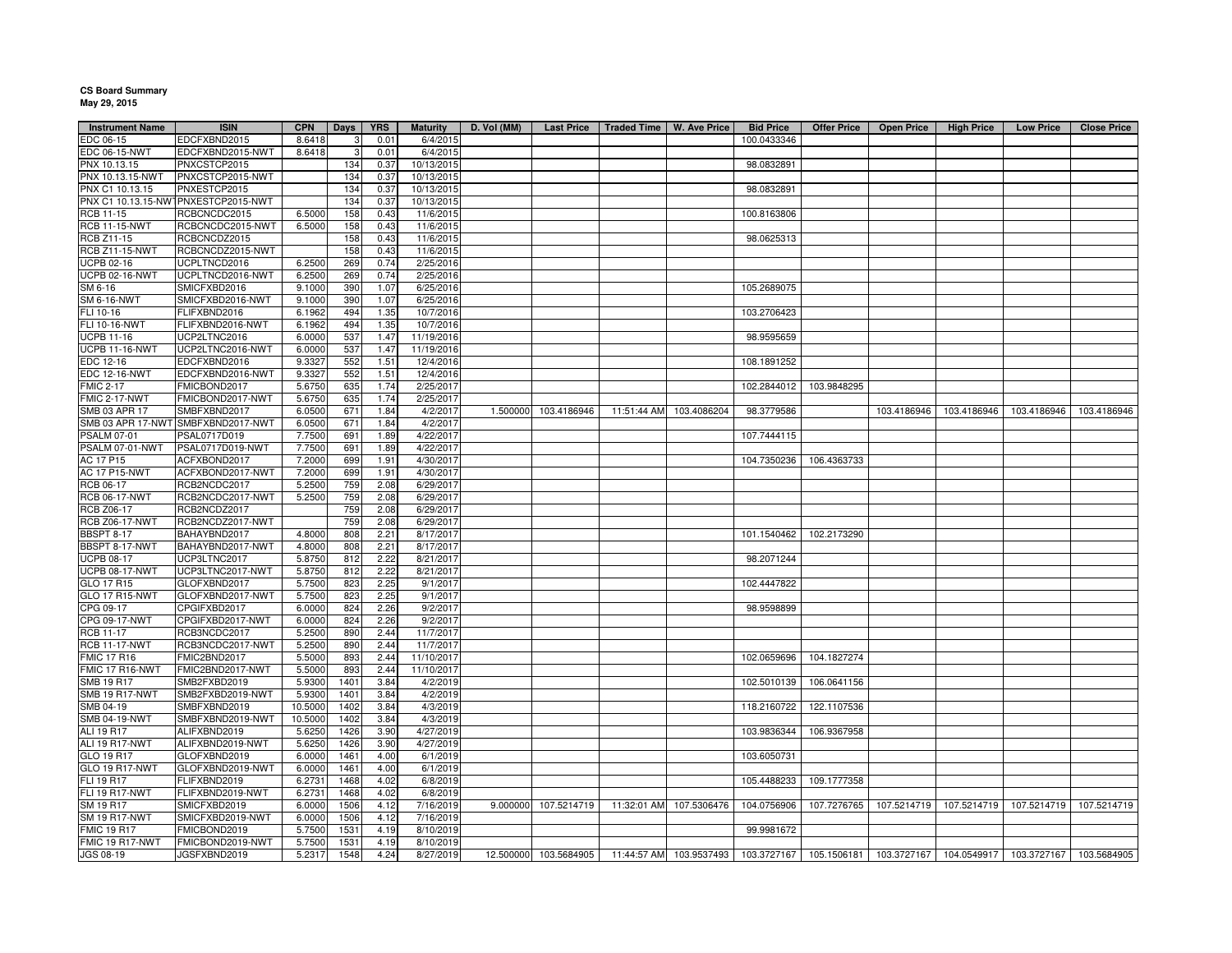## **CS Board Summary May 29, 2015**

| <b>Instrument Name</b> | <b>ISIN</b>                         | <b>CPN</b> | <b>Days</b> | <b>YRS</b> | <b>Maturity</b> | D. Vol (MM) | <b>Last Price</b>    | Traded Time   W. Ave Price |                         | <b>Bid Price</b> | <b>Offer Price</b> | <b>Open Price</b> | <b>High Price</b>                                                                                                     | <b>Low Price</b>        | <b>Close Price</b> |
|------------------------|-------------------------------------|------------|-------------|------------|-----------------|-------------|----------------------|----------------------------|-------------------------|------------------|--------------------|-------------------|-----------------------------------------------------------------------------------------------------------------------|-------------------------|--------------------|
| EDC 06-15              | EDCFXBND2015                        | 8.6418     |             | 0.01       | 6/4/2015        |             |                      |                            |                         | 100.0433346      |                    |                   |                                                                                                                       |                         |                    |
| EDC 06-15-NWT          | EDCFXBND2015-NWT                    | 8.6418     | 3           | 0.01       | 6/4/2015        |             |                      |                            |                         |                  |                    |                   |                                                                                                                       |                         |                    |
| PNX 10.13.15           | PNXCSTCP2015                        |            | 134         | 0.37       | 10/13/2015      |             |                      |                            |                         | 98.0832891       |                    |                   |                                                                                                                       |                         |                    |
| PNX 10.13.15-NWT       | PNXCSTCP2015-NWT                    |            | 134         | 0.37       | 10/13/2015      |             |                      |                            |                         |                  |                    |                   |                                                                                                                       |                         |                    |
| PNX C1 10.13.15        | PNXESTCP2015                        |            | 134         | 0.37       | 10/13/2015      |             |                      |                            |                         | 98.0832891       |                    |                   |                                                                                                                       |                         |                    |
|                        | PNX C1 10.13.15-NWTPNXESTCP2015-NWT |            | 134         | 0.37       | 10/13/2015      |             |                      |                            |                         |                  |                    |                   |                                                                                                                       |                         |                    |
| RCB 11-15              | RCBCNCDC2015                        | 6.5000     | 158         | 0.43       | 11/6/2015       |             |                      |                            |                         | 100.8163806      |                    |                   |                                                                                                                       |                         |                    |
| <b>RCB 11-15-NWT</b>   | RCBCNCDC2015-NWT                    | 6.5000     | 158         | 0.43       | 11/6/2015       |             |                      |                            |                         |                  |                    |                   |                                                                                                                       |                         |                    |
| RCB Z11-15             | RCBCNCDZ2015                        |            | 158         | 0.43       | 11/6/2015       |             |                      |                            |                         | 98.0625313       |                    |                   |                                                                                                                       |                         |                    |
| <b>RCB Z11-15-NWT</b>  | RCBCNCDZ2015-NWT                    |            | 158         | 0.43       | 11/6/2015       |             |                      |                            |                         |                  |                    |                   |                                                                                                                       |                         |                    |
| UCPB 02-16             | UCPLTNCD2016                        | 6.2500     | 269         | 0.74       | 2/25/2016       |             |                      |                            |                         |                  |                    |                   |                                                                                                                       |                         |                    |
| <b>UCPB 02-16-NWT</b>  | UCPLTNCD2016-NWT                    | 6.2500     | 269         | 0.74       | 2/25/2016       |             |                      |                            |                         |                  |                    |                   |                                                                                                                       |                         |                    |
| SM 6-16                | SMICFXBD2016                        | 9.1000     | 390         | 1.07       | 6/25/2016       |             |                      |                            |                         | 105.2689075      |                    |                   |                                                                                                                       |                         |                    |
| SM 6-16-NWT            | SMICFXBD2016-NWT                    | 9.1000     | 390         | 1.07       | 6/25/2016       |             |                      |                            |                         |                  |                    |                   |                                                                                                                       |                         |                    |
| FLI 10-16              | FLIFXBND2016                        | 6.1962     | 494         | 1.35       | 10/7/2016       |             |                      |                            |                         | 103.2706423      |                    |                   |                                                                                                                       |                         |                    |
| FLI 10-16-NWT          | FLIFXBND2016-NWT                    | 6.1962     | 494         | 1.35       | 10/7/2016       |             |                      |                            |                         |                  |                    |                   |                                                                                                                       |                         |                    |
| <b>UCPB 11-16</b>      | UCP2LTNC2016                        | 6.0000     | 537         | 1.47       | 11/19/2016      |             |                      |                            |                         | 98.9595659       |                    |                   |                                                                                                                       |                         |                    |
| <b>UCPB 11-16-NWT</b>  | UCP2LTNC2016-NWT                    | 6.0000     | 537         | 1.47       | 11/19/2016      |             |                      |                            |                         |                  |                    |                   |                                                                                                                       |                         |                    |
| EDC 12-16              | EDCFXBND2016                        | 9.3327     | 552         | 1.51       | 12/4/2016       |             |                      |                            |                         | 108.1891252      |                    |                   |                                                                                                                       |                         |                    |
| <b>EDC 12-16-NWT</b>   | EDCFXBND2016-NWT                    | 9.3327     | 552         | 1.51       | 12/4/2016       |             |                      |                            |                         |                  |                    |                   |                                                                                                                       |                         |                    |
|                        |                                     |            |             |            |                 |             |                      |                            |                         | 102.2844012      | 103.9848295        |                   |                                                                                                                       |                         |                    |
| <b>FMIC 2-17</b>       | FMICBOND2017                        | 5.6750     | 635         | 1.74       | 2/25/2017       |             |                      |                            |                         |                  |                    |                   |                                                                                                                       |                         |                    |
| <b>FMIC 2-17-NWT</b>   | FMICBOND2017-NWT                    | 5.6750     | 635         | 1.74       | 2/25/2017       |             |                      |                            |                         |                  |                    |                   |                                                                                                                       |                         |                    |
| SMB 03 APR 17          | SMBFXBND2017                        | 6.0500     | 671         | 1.84       | 4/2/2017        | 1.500000    | 103.4186946          |                            | 11:51:44 AM 103.4086204 | 98.3779586       |                    | 103.4186946       |                                                                                                                       | 103.4186946 103.4186946 | 103.4186946        |
|                        | SMB 03 APR 17-NWT SMBFXBND2017-NWT  | 6.0500     | 671         | 1.84       | 4/2/2017        |             |                      |                            |                         |                  |                    |                   |                                                                                                                       |                         |                    |
| PSALM 07-01            | PSAL0717D019                        | 7.7500     | 691         | 1.89       | 4/22/2017       |             |                      |                            |                         | 107.7444115      |                    |                   |                                                                                                                       |                         |                    |
| PSALM 07-01-NWT        | PSAL0717D019-NWT                    | 7.7500     | 691         | 1.89       | 4/22/2017       |             |                      |                            |                         |                  |                    |                   |                                                                                                                       |                         |                    |
| AC 17 P15              | ACFXBOND2017                        | 7.2000     | 699         | 1.91       | 4/30/2017       |             |                      |                            |                         | 104.7350236      | 106.4363733        |                   |                                                                                                                       |                         |                    |
| AC 17 P15-NWT          | ACFXBOND2017-NWT                    | 7.2000     | 699         | 1.91       | 4/30/2017       |             |                      |                            |                         |                  |                    |                   |                                                                                                                       |                         |                    |
| <b>RCB 06-17</b>       | RCB2NCDC2017                        | 5.2500     | 759         | 2.08       | 6/29/2017       |             |                      |                            |                         |                  |                    |                   |                                                                                                                       |                         |                    |
| <b>RCB 06-17-NWT</b>   | RCB2NCDC2017-NWT                    | 5.2500     | 759         | 2.08       | 6/29/2017       |             |                      |                            |                         |                  |                    |                   |                                                                                                                       |                         |                    |
| RCB Z06-17             | RCB2NCDZ2017                        |            | 759         | 2.08       | 6/29/2017       |             |                      |                            |                         |                  |                    |                   |                                                                                                                       |                         |                    |
| <b>RCB Z06-17-NWT</b>  | RCB2NCDZ2017-NWT                    |            | 759         | 2.08       | 6/29/2017       |             |                      |                            |                         |                  |                    |                   |                                                                                                                       |                         |                    |
| <b>BBSPT 8-17</b>      | BAHAYBND2017                        | 4.8000     | 808         | 2.21       | 8/17/2017       |             |                      |                            |                         | 101.1540462      | 102.2173290        |                   |                                                                                                                       |                         |                    |
| BBSPT 8-17-NWT         | BAHAYBND2017-NWT                    | 4.8000     | 808         | 2.21       | 8/17/2017       |             |                      |                            |                         |                  |                    |                   |                                                                                                                       |                         |                    |
| <b>UCPB 08-17</b>      | UCP3LTNC2017                        | 5.8750     | 812         | 2.22       | 8/21/2017       |             |                      |                            |                         | 98.2071244       |                    |                   |                                                                                                                       |                         |                    |
| <b>UCPB 08-17-NWT</b>  | UCP3LTNC2017-NWT                    | 5.8750     | 812         | 2.22       | 8/21/2017       |             |                      |                            |                         |                  |                    |                   |                                                                                                                       |                         |                    |
| GLO 17 R15             | GLOFXBND2017                        | 5.7500     | 823         | 2.25       | 9/1/2017        |             |                      |                            |                         | 102.4447822      |                    |                   |                                                                                                                       |                         |                    |
| GLO 17 R15-NWT         | GLOFXBND2017-NWT                    | 5.7500     | 823         | 2.25       | 9/1/2017        |             |                      |                            |                         |                  |                    |                   |                                                                                                                       |                         |                    |
| CPG 09-17              | CPGIFXBD2017                        | 6.0000     | 824         | 2.26       | 9/2/2017        |             |                      |                            |                         | 98.9598899       |                    |                   |                                                                                                                       |                         |                    |
| CPG 09-17-NWT          | CPGIFXBD2017-NWT                    | 6.0000     | 824         | 2.26       | 9/2/2017        |             |                      |                            |                         |                  |                    |                   |                                                                                                                       |                         |                    |
| RCB 11-17              | RCB3NCDC2017                        | 5.2500     | 890         | 2.44       | 11/7/2017       |             |                      |                            |                         |                  |                    |                   |                                                                                                                       |                         |                    |
| <b>RCB 11-17-NWT</b>   | RCB3NCDC2017-NWT                    | 5.2500     | 890         | 2.44       | 11/7/2017       |             |                      |                            |                         |                  |                    |                   |                                                                                                                       |                         |                    |
| <b>FMIC 17 R16</b>     | FMIC2BND2017                        | 5.5000     | 893         | 2.44       | 11/10/2017      |             |                      |                            |                         | 102.0659696      | 104.1827274        |                   |                                                                                                                       |                         |                    |
| FMIC 17 R16-NWT        | FMIC2BND2017-NWT                    | 5.5000     | 893         | 2.44       | 11/10/2017      |             |                      |                            |                         |                  |                    |                   |                                                                                                                       |                         |                    |
| SMB 19 R17             | SMB2FXBD2019                        | 5.9300     | 1401        | 3.84       | 4/2/2019        |             |                      |                            |                         | 102.5010139      | 106.0641156        |                   |                                                                                                                       |                         |                    |
| <b>SMB 19 R17-NWT</b>  | SMB2FXBD2019-NWT                    | 5.9300     | 1401        | 3.84       | 4/2/2019        |             |                      |                            |                         |                  |                    |                   |                                                                                                                       |                         |                    |
| SMB 04-19              | SMBFXBND2019                        | 10.5000    | 1402        | 3.84       | 4/3/2019        |             |                      |                            |                         | 118.2160722      | 122.1107536        |                   |                                                                                                                       |                         |                    |
| <b>SMB 04-19-NWT</b>   | SMBFXBND2019-NWT                    | 10.5000    | 1402        | 3.84       | 4/3/2019        |             |                      |                            |                         |                  |                    |                   |                                                                                                                       |                         |                    |
| ALI 19 R17             | ALIFXBND2019                        | 5.6250     | 1426        | 3.90       | 4/27/2019       |             |                      |                            |                         | 103.9836344      | 106.9367958        |                   |                                                                                                                       |                         |                    |
| ALI 19 R17-NWT         | ALIFXBND2019-NWT                    | 5.6250     | 1426        | 3.90       | 4/27/2019       |             |                      |                            |                         |                  |                    |                   |                                                                                                                       |                         |                    |
| GLO 19 R17             | GLOFXBND2019                        | 6.0000     | 1461        | 4.00       | 6/1/2019        |             |                      |                            |                         | 103.6050731      |                    |                   |                                                                                                                       |                         |                    |
| GLO 19 R17-NWT         | GLOFXBND2019-NWT                    | 6.0000     | 1461        | 4.00       | 6/1/2019        |             |                      |                            |                         |                  |                    |                   |                                                                                                                       |                         |                    |
| <b>FLI 19 R17</b>      | FLIFXBND2019                        | 6.2731     | 1468        | 4.02       | 6/8/2019        |             |                      |                            |                         | 105.4488233      | 109.1777358        |                   |                                                                                                                       |                         |                    |
| <b>FLI 19 R17-NWT</b>  | FLIFXBND2019-NWT                    | 6.2731     | 1468        | 4.02       | 6/8/2019        |             |                      |                            |                         |                  |                    |                   |                                                                                                                       |                         |                    |
|                        |                                     |            |             |            |                 |             |                      |                            |                         |                  |                    |                   |                                                                                                                       |                         |                    |
| SM 19 R17              | SMICFXBD2019                        | 6.0000     | 1506        | 4.12       | 7/16/2019       |             | 9.000000 107.5214719 |                            | 11:32:01 AM 107.5306476 | 104.0756906      | 107.7276765        |                   | 107.5214719   107.5214719   107.5214719                                                                               |                         | 107.5214719        |
| <b>SM 19 R17-NWT</b>   | SMICFXBD2019-NWT                    | 6.0000     | 1506        | 4.12       | 7/16/2019       |             |                      |                            |                         |                  |                    |                   |                                                                                                                       |                         |                    |
| <b>FMIC 19 R17</b>     | FMICBOND2019                        | 5.7500     | 1531        | 4.19       | 8/10/2019       |             |                      |                            |                         | 99.9981672       |                    |                   |                                                                                                                       |                         |                    |
| FMIC 19 R17-NWT        | FMICBOND2019-NWT                    | 5.7500     | 1531        | 4.19       | 8/10/2019       |             |                      |                            |                         |                  |                    |                   |                                                                                                                       |                         |                    |
| JGS 08-19              | JGSFXBND2019                        | 5.2317     | 1548        | 4.24       | 8/27/2019       |             |                      |                            |                         |                  |                    |                   | 12.500000 103.5684905 11:44:57 AM 103.9537493 103.3727167 105.1506181 103.3727167 104.0549917 103.3727167 103.5684905 |                         |                    |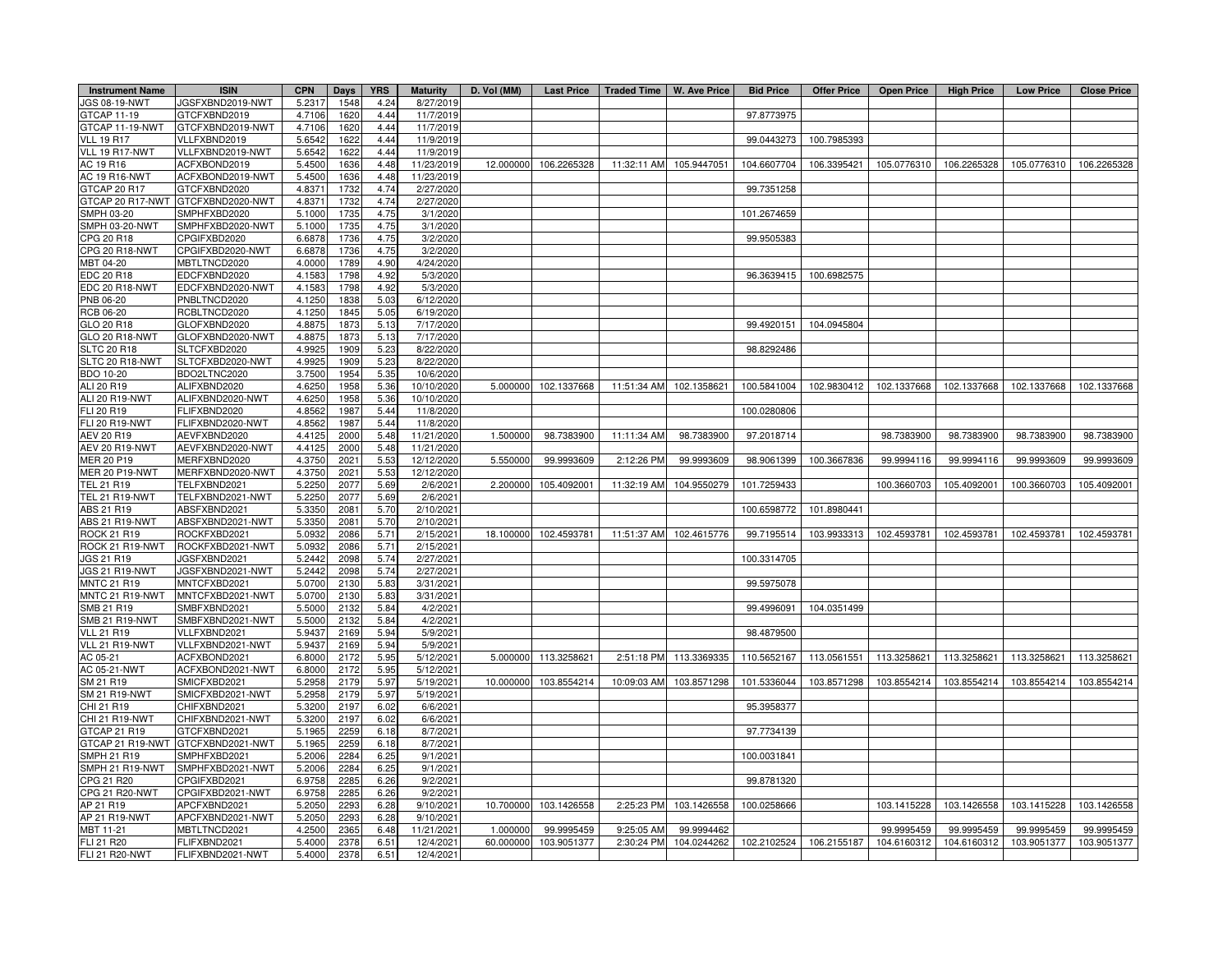| <b>Instrument Name</b> | <b>ISIN</b>                       | <b>CPN</b> | Days | <b>YRS</b> | <b>Maturity</b> | D. Vol (MM) | <b>Last Price</b> |             | Traded Time   W. Ave Price | <b>Bid Price</b> | <b>Offer Price</b> | <b>Open Price</b>       | <b>High Price</b> | <b>Low Price</b> | <b>Close Price</b> |
|------------------------|-----------------------------------|------------|------|------------|-----------------|-------------|-------------------|-------------|----------------------------|------------------|--------------------|-------------------------|-------------------|------------------|--------------------|
| <b>JGS 08-19-NWT</b>   | JGSFXBND2019-NWT                  | 5.231      | 1548 | 4.24       | 8/27/2019       |             |                   |             |                            |                  |                    |                         |                   |                  |                    |
| GTCAP 11-19            | GTCFXBND2019                      | 4.7106     | 1620 | 4.44       | 11/7/2019       |             |                   |             |                            | 97.8773975       |                    |                         |                   |                  |                    |
| GTCAP 11-19-NWT        | GTCFXBND2019-NWT                  | 4.7106     | 1620 | 4.44       | 11/7/2019       |             |                   |             |                            |                  |                    |                         |                   |                  |                    |
| <b>VLL 19 R17</b>      | VLLFXBND2019                      | 5.6542     | 1622 | 4.44       | 11/9/2019       |             |                   |             |                            | 99.0443273       | 100.7985393        |                         |                   |                  |                    |
| VLL 19 R17-NWT         | VLLFXBND2019-NWT                  | 5.6542     | 1622 | 4.44       | 11/9/2019       |             |                   |             |                            |                  |                    |                         |                   |                  |                    |
| AC 19 R16              | ACFXBOND2019                      | 5.4500     | 1636 | 4.48       | 11/23/2019      | 12.000000   | 106.2265328       | 11:32:11 AM | 105.9447051                | 104.6607704      | 106.3395421        | 105.0776310             | 106.2265328       | 105.0776310      | 106.2265328        |
| AC 19 R16-NWT          | ACFXBOND2019-NWT                  | 5.450      | 1636 | 4.48       | 11/23/2019      |             |                   |             |                            |                  |                    |                         |                   |                  |                    |
| GTCAP 20 R17           | GTCFXBND2020                      | 4.837      | 1732 | 4.74       | 2/27/2020       |             |                   |             |                            | 99.7351258       |                    |                         |                   |                  |                    |
|                        | GTCAP 20 R17-NWT GTCFXBND2020-NWT | 4.837      | 1732 | 4.74       | 2/27/2020       |             |                   |             |                            |                  |                    |                         |                   |                  |                    |
| SMPH 03-20             | SMPHFXBD2020                      | 5.100      | 1735 | 4.75       | 3/1/2020        |             |                   |             |                            | 101.2674659      |                    |                         |                   |                  |                    |
| SMPH 03-20-NWT         | SMPHFXBD2020-NWT                  | 5.1000     | 1735 | 4.75       | 3/1/2020        |             |                   |             |                            |                  |                    |                         |                   |                  |                    |
| CPG 20 R18             | CPGIFXBD2020                      | 6.687      | 1736 | 4.75       | 3/2/2020        |             |                   |             |                            | 99.9505383       |                    |                         |                   |                  |                    |
| CPG 20 R18-NWT         | CPGIFXBD2020-NWT                  | 6.6878     | 1736 | 4.75       | 3/2/2020        |             |                   |             |                            |                  |                    |                         |                   |                  |                    |
| MBT 04-20              | MBTLTNCD2020                      | 4.0000     | 1789 | 4.90       | 4/24/2020       |             |                   |             |                            |                  |                    |                         |                   |                  |                    |
| EDC 20 R18             | EDCFXBND2020                      | 4.158      | 1798 | 4.92       | 5/3/2020        |             |                   |             |                            | 96.3639415       | 100.6982575        |                         |                   |                  |                    |
| EDC 20 R18-NWT         | EDCFXBND2020-NWT                  | 4.1583     | 1798 | 4.92       | 5/3/2020        |             |                   |             |                            |                  |                    |                         |                   |                  |                    |
| PNB 06-20              | PNBLTNCD2020                      | 4.1250     | 1838 | 5.03       | 6/12/2020       |             |                   |             |                            |                  |                    |                         |                   |                  |                    |
| RCB 06-20              | RCBLTNCD2020                      | 4.1250     | 1845 | 5.05       | 6/19/2020       |             |                   |             |                            |                  |                    |                         |                   |                  |                    |
| GLO 20 R18             | GLOFXBND2020                      | 4.887      | 1873 | 5.13       | 7/17/2020       |             |                   |             |                            | 99.4920151       | 104.0945804        |                         |                   |                  |                    |
| GLO 20 R18-NWT         | GLOFXBND2020-NWT                  | 4.887      | 1873 | 5.13       | 7/17/2020       |             |                   |             |                            |                  |                    |                         |                   |                  |                    |
| <b>SLTC 20 R18</b>     | SLTCFXBD2020                      | 4.992      | 1909 | 5.23       | 8/22/2020       |             |                   |             |                            | 98.8292486       |                    |                         |                   |                  |                    |
| SLTC 20 R18-NWT        | SLTCFXBD2020-NWT                  | 4.992      | 1909 | 5.23       | 8/22/2020       |             |                   |             |                            |                  |                    |                         |                   |                  |                    |
| <b>BDO 10-20</b>       | BDO2LTNC2020                      | 3.750      | 1954 | 5.35       | 10/6/2020       |             |                   |             |                            |                  |                    |                         |                   |                  |                    |
| ALI 20 R19             | ALIFXBND2020                      | 4.6250     | 1958 | 5.36       | 10/10/2020      | 5.000000    | 102.1337668       | 11:51:34 AM | 102.1358621                | 100.5841004      |                    | 102.9830412 102.1337668 | 102.1337668       | 102.1337668      | 102.1337668        |
| ALI 20 R19-NWT         | ALIFXBND2020-NWT                  | 4.625      | 1958 | 5.36       | 10/10/2020      |             |                   |             |                            |                  |                    |                         |                   |                  |                    |
| FLI 20 R19             | FLIFXBND2020                      | 4.856      | 1987 | 5.44       | 11/8/2020       |             |                   |             |                            | 100.0280806      |                    |                         |                   |                  |                    |
| <b>FLI 20 R19-NWT</b>  | FLIFXBND2020-NWT                  | 4.856      | 1987 | 5.44       | 11/8/2020       |             |                   |             |                            |                  |                    |                         |                   |                  |                    |
| AEV 20 R19             | AEVFXBND2020                      | 4.4125     | 2000 | 5.48       | 11/21/2020      | 1.500000    | 98.7383900        | 11:11:34 AM | 98.7383900                 | 97.2018714       |                    | 98.7383900              | 98.7383900        | 98.7383900       | 98.7383900         |
| AEV 20 R19-NWT         | AEVFXBND2020-NWT                  | 4.4125     | 2000 | 5.48       | 11/21/2020      |             |                   |             |                            |                  |                    |                         |                   |                  |                    |
| MER 20 P19             | MERFXBND2020                      | 4.3750     | 2021 | 5.53       | 12/12/2020      | 5.550000    | 99.9993609        | 2:12:26 PM  | 99.9993609                 | 98.9061399       | 100.3667836        | 99.9994116              | 99.9994116        | 99.9993609       | 99.9993609         |
| <b>MER 20 P19-NWT</b>  | MERFXBND2020-NWT                  | 4.375      | 2021 | 5.53       | 12/12/2020      |             |                   |             |                            |                  |                    |                         |                   |                  |                    |
| TEL 21 R19             | TELFXBND2021                      | 5.2250     | 2077 | 5.69       | 2/6/2021        | 2.200000    | 105.4092001       | 11:32:19 AM | 104.9550279                | 101.7259433      |                    | 100.3660703             | 105.4092001       | 100.3660703      | 105.4092001        |
| <b>TEL 21 R19-NWT</b>  | TELFXBND2021-NWT                  | 5.2250     | 2077 | 5.69       | 2/6/2021        |             |                   |             |                            |                  |                    |                         |                   |                  |                    |
| <b>ABS 21 R19</b>      | ABSFXBND2021                      | 5.335      | 2081 | 5.70       | 2/10/2021       |             |                   |             |                            | 100.6598772      | 101.8980441        |                         |                   |                  |                    |
| ABS 21 R19-NWT         | ABSFXBND2021-NWT                  | 5.3350     | 2081 | 5.70       | 2/10/2021       |             |                   |             |                            |                  |                    |                         |                   |                  |                    |
| <b>ROCK 21 R19</b>     | ROCKFXBD2021                      | 5.093      | 2086 | 5.71       | 2/15/2021       | 18.100000   | 102.4593781       | 11:51:37 AM | 102.4615776                | 99.7195514       | 103.9933313        | 102.4593781             | 102.4593781       | 102.4593781      | 102.4593781        |
| ROCK 21 R19-NWT        | ROCKFXBD2021-NWT                  | 5.093      | 2086 | 5.71       | 2/15/2021       |             |                   |             |                            |                  |                    |                         |                   |                  |                    |
| JGS 21 R19             | JGSFXBND2021                      | 5.2442     | 2098 | 5.74       | 2/27/2021       |             |                   |             |                            | 100.3314705      |                    |                         |                   |                  |                    |
| JGS 21 R19-NWT         | JGSFXBND2021-NWT                  | 5.2442     | 2098 | 5.74       | 2/27/2021       |             |                   |             |                            |                  |                    |                         |                   |                  |                    |
| <b>MNTC 21 R19</b>     | MNTCFXBD2021                      | 5.0700     | 2130 | 5.83       | 3/31/2021       |             |                   |             |                            | 99.5975078       |                    |                         |                   |                  |                    |
| MNTC 21 R19-NWT        | MNTCFXBD2021-NWT                  | 5.070      | 2130 | 5.83       | 3/31/2021       |             |                   |             |                            |                  |                    |                         |                   |                  |                    |
| SMB 21 R19             | SMBFXBND2021                      | 5.500      | 2132 | 5.84       | 4/2/2021        |             |                   |             |                            | 99.4996091       | 104.0351499        |                         |                   |                  |                    |
| SMB 21 R19-NWT         | SMBFXBND2021-NWT                  | 5.5000     | 2132 | 5.84       | 4/2/2021        |             |                   |             |                            |                  |                    |                         |                   |                  |                    |
| <b>VLL 21 R19</b>      | VLLFXBND2021                      | 5.9437     | 2169 | 5.94       | 5/9/2021        |             |                   |             |                            | 98.4879500       |                    |                         |                   |                  |                    |
| VLL 21 R19-NWT         | VLLFXBND2021-NWT                  | 5.9437     | 2169 | 5.94       | 5/9/2021        |             |                   |             |                            |                  |                    |                         |                   |                  |                    |
| AC 05-21               | ACFXBOND2021                      | 6.8000     | 2172 | 5.95       | 5/12/2021       | 5.000000    | 113.3258621       | 2:51:18 PM  | 113.3369335                | 110.5652167      |                    | 113.0561551 113.3258621 | 113.3258621       | 113.3258621      | 113.3258621        |
| AC 05-21-NWT           | ACFXBOND2021-NWT                  | 6.800      | 2172 | 5.95       | 5/12/2021       |             |                   |             |                            |                  |                    |                         |                   |                  |                    |
| SM 21 R19              | SMICFXBD2021                      | 5.2958     | 2179 | 5.97       | 5/19/2021       | 10.000000   | 103.8554214       | 10:09:03 AM | 103.8571298                | 101.5336044      | 103.8571298        | 103.8554214             | 103.8554214       | 103.8554214      | 103.8554214        |
| <b>SM 21 R19-NWT</b>   | SMICFXBD2021-NWT                  | 5.2958     | 2179 | 5.97       | 5/19/2021       |             |                   |             |                            |                  |                    |                         |                   |                  |                    |
| CHI 21 R19             | CHIFXBND2021                      | 5.320      | 2197 | 6.02       | 6/6/2021        |             |                   |             |                            | 95.3958377       |                    |                         |                   |                  |                    |
| CHI 21 R19-NWT         | CHIFXBND2021-NWT                  | 5.3200     | 2197 | 6.02       | 6/6/2021        |             |                   |             |                            |                  |                    |                         |                   |                  |                    |
| GTCAP 21 R19           | GTCFXBND2021                      | 5.196      | 2259 | 6.18       | 8/7/2021        |             |                   |             |                            | 97.7734139       |                    |                         |                   |                  |                    |
| GTCAP 21 R19-NWT       | GTCFXBND2021-NWT                  | 5.196      | 2259 | 6.18       | 8/7/2021        |             |                   |             |                            |                  |                    |                         |                   |                  |                    |
| SMPH 21 R19            | SMPHFXBD2021                      | 5.2006     | 2284 | 6.25       | 9/1/2021        |             |                   |             |                            | 100.0031841      |                    |                         |                   |                  |                    |
| SMPH 21 R19-NWT        | SMPHFXBD2021-NWT                  | 5.2006     | 2284 | 6.25       | 9/1/2021        |             |                   |             |                            |                  |                    |                         |                   |                  |                    |
| CPG 21 R20             | CPGIFXBD2021                      | 6.9758     | 2285 | 6.26       | 9/2/2021        |             |                   |             |                            | 99.8781320       |                    |                         |                   |                  |                    |
| CPG 21 R20-NWT         | CPGIFXBD2021-NWT                  | 6.9758     | 2285 | 6.26       | 9/2/2021        |             |                   |             |                            |                  |                    |                         |                   |                  |                    |
| AP 21 R19              | APCFXBND202                       | 5.2050     | 2293 | 6.28       | 9/10/2021       | 10.700000   | 103.1426558       | 2:25:23 PM  | 103.1426558                | 100.0258666      |                    | 103.1415228             | 103.1426558       | 103.1415228      | 103.1426558        |
| AP 21 R19-NWT          | APCFXBND2021-NWT                  | 5.2050     | 2293 | 6.28       | 9/10/2021       |             |                   |             |                            |                  |                    |                         |                   |                  |                    |
| MBT 11-21              | MBTLTNCD2021                      | 4.2500     | 2365 | 6.48       | 11/21/2021      | 1.000000    | 99.9995459        | 9:25:05 AM  | 99.9994462                 |                  |                    | 99.9995459              | 99.9995459        | 99.9995459       | 99.9995459         |
| FLI 21 R20             | FLIFXBND2021                      | 5.400      | 2378 | 6.51       | 12/4/2021       | 60.000000   | 103.9051377       | 2:30:24 PM  | 104.0244262                | 102.2102524      | 106.2155187        | 104.6160312             | 104.6160312       | 103.9051377      | 103.9051377        |
| <b>FLI 21 R20-NWT</b>  | FLIFXBND2021-NWT                  | 5.4000     | 2378 | 6.51       | 12/4/2021       |             |                   |             |                            |                  |                    |                         |                   |                  |                    |
|                        |                                   |            |      |            |                 |             |                   |             |                            |                  |                    |                         |                   |                  |                    |